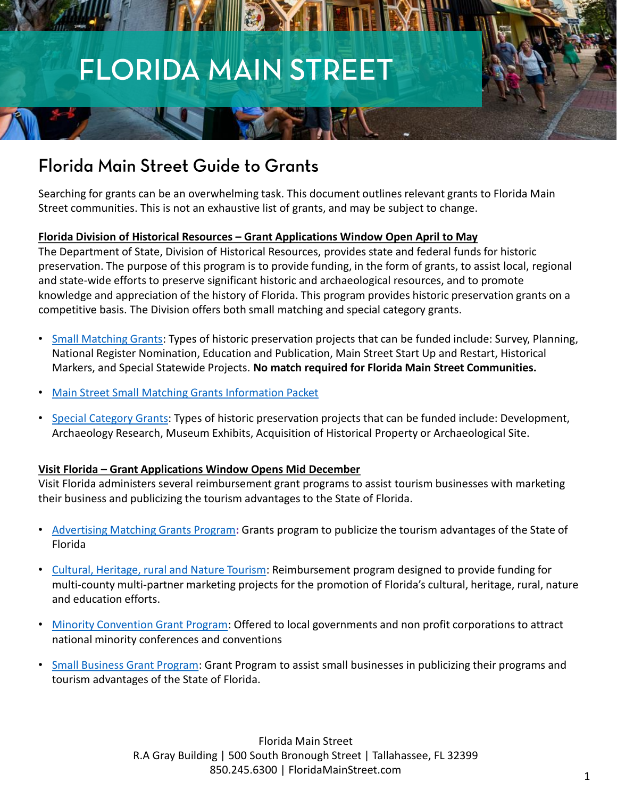# **FLORIDA MAIN STREET**

NA HEAMA

# Florida Main Street Guide to Grants

Searching for grants can be an overwhelming task. This document outlines relevant grants to Florida Main Street communities. This is not an exhaustive list of grants, and may be subject to change.

### **Florida Division of Historical Resources – Grant Applications Window Open April to May**

The Department of State, Division of Historical Resources, provides state and federal funds for historic preservation. The purpose of this program is to provide funding, in the form of grants, to assist local, regional and state-wide efforts to preserve significant historic and archaeological resources, and to promote knowledge and appreciation of the history of Florida. This program provides historic preservation grants on a competitive basis. The Division offers both small matching and special category grants.

- [Small Matching Grants:](https://dos.myflorida.com/historical/grants/small-matching-grants/) Types of historic preservation projects that can be funded include: Survey, Planning, National Register Nomination, Education and Publication, Main Street Start Up and Restart, Historical Markers, and Special Statewide Projects. **No match required for Florida Main Street Communities.**
- [Main Street Small Matching Grants Information Packet](https://dos.myflorida.com/media/699514/main-street-sm-2018.pdf)
- [Special Category Grants:](https://dos.myflorida.com/historical/grants/special-category-grants/) Types of historic preservation projects that can be funded include: Development, Archaeology Research, Museum Exhibits, Acquisition of Historical Property or Archaeological Site.

## **Visit Florida – Grant Applications Window Opens Mid December**

Visit Florida administers several reimbursement grant programs to assist tourism businesses with marketing their business and publicizing the tourism advantages to the State of Florida.

- [Advertising Matching Grants Program](https://www.visitflorida.org/resources/grants/advertising-matching-grants-program/)**:** Grants program to publicize the tourism advantages of the State of Florida
- [Cultural, Heritage, rural and Nature Tourism](https://www.visitflorida.org/resources/grants/cultural-heritage-rural-and-nature-tourism-grant-program/): Reimbursement program designed to provide funding for multi-county multi-partner marketing projects for the promotion of Florida's cultural, heritage, rural, nature and education efforts.
- [Minority Convention Grant Program](https://www.visitflorida.org/resources/grants/minority-convention-grant-program/): Offered to local governments and non profit corporations to attract national minority conferences and conventions
- [Small Business Grant Program](https://www.visitflorida.org/resources/grants/small-business-grant-program/): Grant Program to assist small businesses in publicizing their programs and tourism advantages of the State of Florida.

Florida Main Street R.A Gray Building | 500 South Bronough Street | Tallahassee, FL 32399 850.245.6300 | FloridaMainStreet.com <sup>1</sup>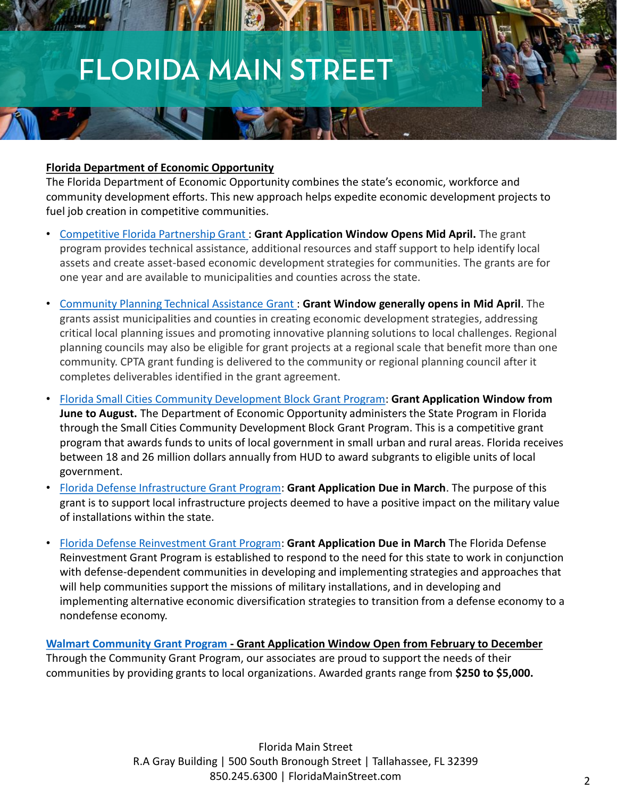# **FLORIDA MAIN STREET**

NA III ON H

#### **Florida Department of Economic Opportunity**

The Florida Department of Economic Opportunity combines the state's economic, workforce and community development efforts. This new approach helps expedite economic development projects to fuel job creation in competitive communities.

- [Competitive Florida Partnership Grant :](http://www.floridajobs.org/community-planning-and-development/programs/community-planning-table-of-contents/competitive-florida-partnership) **Grant Application Window Opens Mid April.** The grant program provides technical assistance, additional resources and staff support to help identify local assets and create asset-based economic development strategies for communities. The grants are for one year and are available to municipalities and counties across the state.
- [Community Planning Technical Assistance Grant :](http://www.floridajobs.org/community-planning-and-development/programs/community-planning-table-of-contents/technical-assistance) **Grant Window generally opens in Mid April**. The grants assist municipalities and counties in creating economic development strategies, addressing critical local planning issues and promoting innovative planning solutions to local challenges. Regional planning councils may also be eligible for grant projects at a regional scale that benefit more than one community. CPTA grant funding is delivered to the community or regional planning council after it completes deliverables identified in the grant agreement.
- [Florida Small Cities Community Development Block Grant Program:](http://www.floridajobs.org/community-planning-and-development/assistance-for-governments-and-organizations/florida-small-cities-community-development-block-grant-program) **Grant Application Window from June to August.** The Department of Economic Opportunity administers the State Program in Florida through the Small Cities Community Development Block Grant Program. This is a competitive grant program that awards funds to units of local government in small urban and rural areas. Florida receives between 18 and 26 million dollars annually from HUD to award subgrants to eligible units of local government.
- [Florida Defense Infrastructure Grant Program](http://www.floridajobs.org/community-planning-and-development/military-community-programs/florida-defense-infrastructure-grant-program): **Grant Application Due in March**. The purpose of this grant is to support local infrastructure projects deemed to have a positive impact on the military value of installations within the state.
- [Florida Defense Reinvestment Grant Program](http://www.floridajobs.org/community-planning-and-development/military-community-programs/florida-defense-reinvestment-grant-program): **Grant Application Due in March** The Florida Defense Reinvestment Grant Program is established to respond to the need for this state to work in conjunction with defense-dependent communities in developing and implementing strategies and approaches that will help communities support the missions of military installations, and in developing and implementing alternative economic diversification strategies to transition from a defense economy to a nondefense economy.

**[Walmart Community Grant Program -](http://giving.walmart.com/walmart-foundation/community-grant-program) Grant Application Window Open from February to December** Through the Community Grant Program, our associates are proud to support the needs of their communities by providing grants to local organizations. Awarded grants range from **\$250 to \$5,000.**

> Florida Main Street R.A Gray Building | 500 South Bronough Street | Tallahassee, FL 32399 850.245.6300 | FloridaMainStreet.com 2